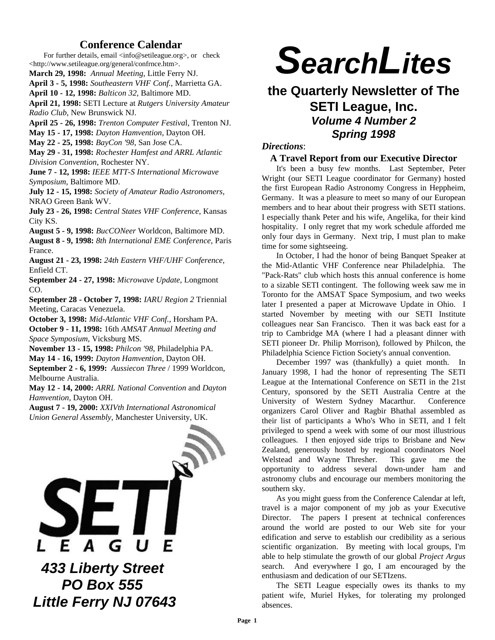# **Conference Calendar**

For further details, email  $\langle$ info@setileague.org>, or check <http://www.setileague.org/general/confrnce.htm>.

**March 29, 1998:** *Annual Meeting*, Little Ferry NJ.

**April 3 - 5, 1998:** *Southeastern VHF Conf.*, Marrietta GA.

**April 10 - 12, 1998:** *Balticon 32*, Baltimore MD.

**April 21, 1998:** SETI Lecture at *Rutgers University Amateur Radio Club*, New Brunswick NJ.

**April 25 - 26, 1998:** *Trenton Computer Festiva*l, Trenton NJ.

**May 15 - 17, 1998:** *Dayton Hamvention*, Dayton OH.

**May 22 - 25, 1998:** *BayCon '98*, San Jose CA.

**May 29 - 31, 1998:** *Rochester Hamfest and ARRL Atlantic Division Convention*, Rochester NY.

**June 7 - 12, 1998:** *IEEE MTT-S International Microwave Symposium*, Baltimore MD.

**July 12 - 15, 1998:** *Society of Amateur Radio Astronomers*, NRAO Green Bank WV.

**July 23 - 26, 1998:** *Central States VHF Conference*, Kansas City KS.

**August 5 - 9, 1998:** *BucCONeer* Worldcon, Baltimore MD.

**August 8 - 9, 1998:** *8th International EME Conference*, Paris France.

**August 21 - 23, 1998:** *24th Eastern VHF/UHF Conference*, Enfield CT.

**September 24 - 27, 1998:** *Microwave Update*, Longmont CO.

**September 28 - October 7, 1998:** *IARU Region 2* Triennial Meeting, Caracas Venezuela.

**October 3, 1998:** *Mid-Atlantic VHF Conf.*, Horsham PA. **October 9 - 11, 1998:** 16th *AMSAT Annual Meeting and Space Symposium*, Vicksburg MS.

**November 13 - 15, 1998:** *Philcon '98*, Philadelphia PA. **May 14 - 16, 1999:** *Dayton Hamvention*, Dayton OH.

**September 2 - 6, 1999:** *Aussiecon Three* / 1999 Worldcon, Melbourne Australia.

**May 12 - 14, 2000:** *ARRL National Convention* and *Dayton Hamvention*, Dayton OH.

**August 7 - 19, 2000:** *XXIVth International Astronomical Union General Assembly*, Manchester University, UK.



 *PO Box 555 Little Ferry NJ 07643*

# *SearchLites*

# **the Quarterly Newsletter of The SETI League, Inc.** *Volume 4 Number 2 Spring 1998*

# *Directions*:

#### **A Travel Report from our Executive Director**

It's been a busy few months. Last September, Peter Wright (our SETI League coordinator for Germany) hosted the first European Radio Astronomy Congress in Heppheim, Germany. It was a pleasure to meet so many of our European members and to hear about their progress with SETI stations. I especially thank Peter and his wife, Angelika, for their kind hospitality. I only regret that my work schedule afforded me only four days in Germany. Next trip, I must plan to make time for some sightseeing.

In October, I had the honor of being Banquet Speaker at the Mid-Atlantic VHF Conference near Philadelphia. The "Pack-Rats" club which hosts this annual conference is home to a sizable SETI contingent. The following week saw me in Toronto for the AMSAT Space Symposium, and two weeks later I presented a paper at Microwave Update in Ohio. I started November by meeting with our SETI Institute colleagues near San Francisco. Then it was back east for a trip to Cambridge MA (where I had a pleasant dinner with SETI pioneer Dr. Philip Morrison), followed by Philcon, the Philadelphia Science Fiction Society's annual convention.

December 1997 was (thankfully) a quiet month. In January 1998, I had the honor of representing The SETI League at the International Conference on SETI in the 21st Century, sponsored by the SETI Australia Centre at the University of Western Sydney Macarthur. Conference organizers Carol Oliver and Ragbir Bhathal assembled as their list of participants a Who's Who in SETI, and I felt privileged to spend a week with some of our most illustrious colleagues. I then enjoyed side trips to Brisbane and New Zealand, generously hosted by regional coordinators Noel Welstead and Wayne Thresher. This gave me the opportunity to address several down-under ham and astronomy clubs and encourage our members monitoring the southern sky.

As you might guess from the Conference Calendar at left, travel is a major component of my job as your Executive Director. The papers I present at technical conferences around the world are posted to our Web site for your edification and serve to establish our credibility as a serious scientific organization. By meeting with local groups, I'm able to help stimulate the growth of our global *Project Argus* search. And everywhere I go, I am encouraged by the enthusiasm and dedication of our SETIzens.

The SETI League especially owes its thanks to my patient wife, Muriel Hykes, for tolerating my prolonged absences.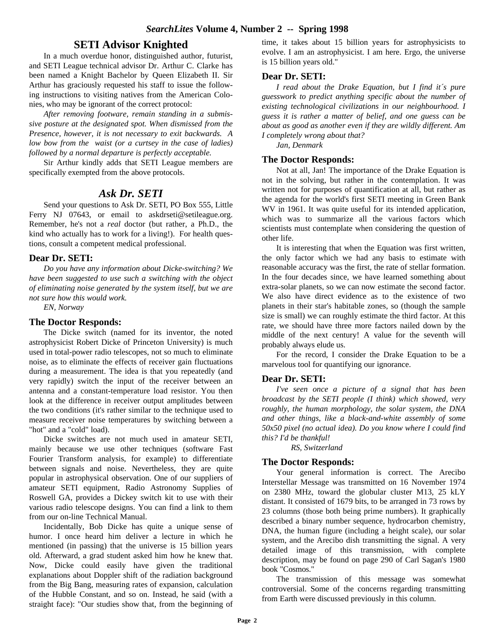# **SETI Advisor Knighted**

In a much overdue honor, distinguished author, futurist, and SETI League technical advisor Dr. Arthur C. Clarke has been named a Knight Bachelor by Queen Elizabeth II. Sir Arthur has graciously requested his staff to issue the following instructions to visiting natives from the American Colonies, who may be ignorant of the correct protocol:

*After removing footware, remain standing in a submissive posture at the designated spot. When dismissed from the Presence, however, it is not necessary to exit backwards. A low bow from the waist (or a curtsey in the case of ladies) followed by a normal departure is perfectly acceptable.*

Sir Arthur kindly adds that SETI League members are specifically exempted from the above protocols.

# *Ask Dr. SETI*

Send your questions to Ask Dr. SETI, PO Box 555, Little Ferry NJ 07643, or email to askdrseti@setileague.org. Remember, he's not a *real* doctor (but rather, a Ph.D., the kind who actually has to work for a living!). For health questions, consult a competent medical professional.

# **Dear Dr. SETI:**

*Do you have any information about Dicke-switching? We have been suggested to use such a switching with the object of eliminating noise generated by the system itself, but we are not sure how this would work.*

*EN, Norway*

## **The Doctor Responds:**

The Dicke switch (named for its inventor, the noted astrophysicist Robert Dicke of Princeton University) is much used in total-power radio telescopes, not so much to eliminate noise, as to eliminate the effects of receiver gain fluctuations during a measurement. The idea is that you repeatedly (and very rapidly) switch the input of the receiver between an antenna and a constant-temperature load resistor. You then look at the difference in receiver output amplitudes between the two conditions (it's rather similar to the technique used to measure receiver noise temperatures by switching between a "hot" and a "cold" load).

Dicke switches are not much used in amateur SETI, mainly because we use other techniques (software Fast Fourier Transform analysis, for example) to differentiate between signals and noise. Nevertheless, they are quite popular in astrophysical observation. One of our suppliers of amateur SETI equipment, Radio Astronomy Supplies of Roswell GA, provides a Dickey switch kit to use with their various radio telescope designs. You can find a link to them from our on-line Technical Manual.

Incidentally, Bob Dicke has quite a unique sense of humor. I once heard him deliver a lecture in which he mentioned (in passing) that the universe is 15 billion years old. Afterward, a grad student asked him how he knew that. Now, Dicke could easily have given the traditional explanations about Doppler shift of the radiation background from the Big Bang, measuring rates of expansion, calculation of the Hubble Constant, and so on. Instead, he said (with a straight face): "Our studies show that, from the beginning of time, it takes about 15 billion years for astrophysicists to evolve. I am an astrophysicist. I am here. Ergo, the universe is 15 billion years old."

## **Dear Dr. SETI:**

*I read about the Drake Equation, but I find it´s pure guesswork to predict anything specific about the number of existing technological civilizations in our neighbourhood. I guess it is rather a matter of belief, and one guess can be about as good as another even if they are wildly different. Am I completely wrong about that?*

*Jan, Denmark* 

## **The Doctor Responds:**

Not at all, Jan! The importance of the Drake Equation is not in the solving, but rather in the contemplation. It was written not for purposes of quantification at all, but rather as the agenda for the world's first SETI meeting in Green Bank WV in 1961. It was quite useful for its intended application, which was to summarize all the various factors which scientists must contemplate when considering the question of other life.

It is interesting that when the Equation was first written, the only factor which we had any basis to estimate with reasonable accuracy was the first, the rate of stellar formation. In the four decades since, we have learned something about extra-solar planets, so we can now estimate the second factor. We also have direct evidence as to the existence of two planets in their star's habitable zones, so (though the sample size is small) we can roughly estimate the third factor. At this rate, we should have three more factors nailed down by the middle of the next century! A value for the seventh will probably always elude us.

For the record, I consider the Drake Equation to be a marvelous tool for quantifying our ignorance.

# **Dear Dr. SETI:**

*I've seen once a picture of a signal that has been broadcast by the SETI people (I think) which showed, very roughly, the human morphology, the solar system, the DNA and other things, like a black-and-white assembly of some 50x50 pixel (no actual idea). Do you know where I could find this? I'd be thankful!*

*RS, Switzerland*

# **The Doctor Responds:**

Your general information is correct. The Arecibo Interstellar Message was transmitted on 16 November 1974 on 2380 MHz, toward the globular cluster M13, 25 kLY distant. It consisted of 1679 bits, to be arranged in 73 rows by 23 columns (those both being prime numbers). It graphically described a binary number sequence, hydrocarbon chemistry, DNA, the human figure (including a height scale), our solar system, and the Arecibo dish transmitting the signal. A very detailed image of this transmission, with complete description, may be found on page 290 of Carl Sagan's 1980 book "Cosmos."

The transmission of this message was somewhat controversial. Some of the concerns regarding transmitting from Earth were discussed previously in this column.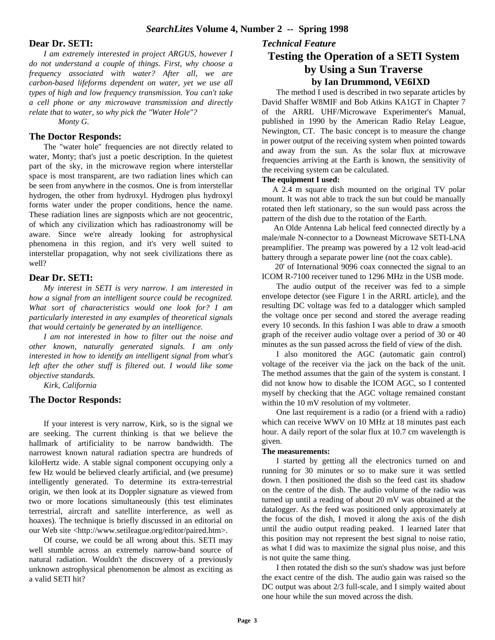#### **Dear Dr. SETI:**

*I am extremely interested in project ARGUS, however I do not understand a couple of things. First, why choose a frequency associated with water? After all, we are carbon-based lifeforms dependent on water, yet we use all types of high and low frequency transmission. You can't take a cell phone or any microwave transmission and directly relate that to water, so why pick the "Water Hole"?*

*Monty G.*

## **The Doctor Responds:**

The "water hole" frequencies are not directly related to water, Monty; that's just a poetic description. In the quietest part of the sky, in the microwave region where interstellar space is most transparent, are two radiation lines which can be seen from anywhere in the cosmos. One is from interstellar hydrogen, the other from hydroxyl. Hydrogen plus hydroxyl forms water under the proper conditions, hence the name. These radiation lines are signposts which are not geocentric, of which any civilization which has radioastronomy will be aware. Since we're already looking for astrophysical phenomena in this region, and it's very well suited to interstellar propagation, why not seek civilizations there as well?

#### **Dear Dr. SETI:**

*My interest in SETI is very narrow. I am interested in how a signal from an intelligent source could be recognized. What sort of characteristics would one look for? I am particularly interested in any examples of theoretical signals that would certainly be generated by an intelligence.*

*I am not interested in how to filter out the noise and other known, naturally generated signals. I am only interested in how to identify an intelligent signal from what's left after the other stuff is filtered out. I would like some objective standards.*

*Kirk, California*

#### **The Doctor Responds:**

If your interest is very narrow, Kirk, so is the signal we are seeking. The current thinking is that we believe the hallmark of artificiality to be narrow bandwidth. The narrowest known natural radiation spectra are hundreds of kiloHertz wide. A stable signal component occupying only a few Hz would be believed clearly artificial, and (we presume) intelligently generated. To determine its extra-terrestrial origin, we then look at its Doppler signature as viewed from two or more locations simultaneously (this test eliminates terrestrial, aircraft and satellite interference, as well as hoaxes). The technique is briefly discussed in an editorial on our Web site <http://www.setileague.org/editor/paired.htm>.

Of course, we could be all wrong about this. SETI may well stumble across an extremely narrow-band source of natural radiation. Wouldn't the discovery of a previously unknown astrophysical phenomenon be almost as exciting as a valid SETI hit?

# **Testing the Operation of a SETI System by Using a Sun Traverse by Ian Drummond, VE6IXD**

The method I used is described in two separate articles by David Shaffer W8MIF and Bob Atkins KA1GT in Chapter 7 of the ARRL UHF/Microwave Experimenter's Manual, published in 1990 by the American Radio Relay League, Newington, CT. The basic concept is to measure the change in power output of the receiving system when pointed towards and away from the sun. As the solar flux at microwave frequencies arriving at the Earth is known, the sensitivity of the receiving system can be calculated.

#### **The equipment I used:**

*Technical Feature*

 A 2.4 m square dish mounted on the original TV polar mount. It was not able to track the sun but could be manually rotated then left stationary, so the sun would pass across the pattern of the dish due to the rotation of the Earth.

 An Olde Antenna Lab helical feed connected directly by a male/male N-connector to a Downeast Microwave SETI-LNA preamplifier. The preamp was powered by a 12 volt lead-acid battery through a separate power line (not the coax cable).

 20' of International 9096 coax connected the signal to an ICOM R-7100 receiver tuned to 1296 MHz in the USB mode.

The audio output of the receiver was fed to a simple envelope detector (see Figure 1 in the ARRL article), and the resulting DC voltage was fed to a datalogger which sampled the voltage once per second and stored the average reading every 10 seconds. In this fashion I was able to draw a smooth graph of the receiver audio voltage over a period of 30 or 40 minutes as the sun passed across the field of view of the dish.

I also monitored the AGC (automatic gain control) voltage of the receiver via the jack on the back of the unit. The method assumes that the gain of the system is constant. I did not know how to disable the ICOM AGC, so I contented myself by checking that the AGC voltage remained constant within the 10 mV resolution of my voltmeter.

One last requirement is a radio (or a friend with a radio) which can receive WWV on 10 MHz at 18 minutes past each hour. A daily report of the solar flux at 10.7 cm wavelength is given.

#### **The measurements:**

I started by getting all the electronics turned on and running for 30 minutes or so to make sure it was settled down. I then positioned the dish so the feed cast its shadow on the centre of the dish. The audio volume of the radio was turned up until a reading of about 20 mV was obtained at the datalogger. As the feed was positioned only approximately at the focus of the dish, I moved it along the axis of the dish until the audio output reading peaked. I learned later that this position may not represent the best signal to noise ratio, as what I did was to maximize the signal plus noise, and this is not quite the same thing.

I then rotated the dish so the sun's shadow was just before the exact centre of the dish. The audio gain was raised so the DC output was about 2/3 full-scale, and I simply waited about one hour while the sun moved across the dish.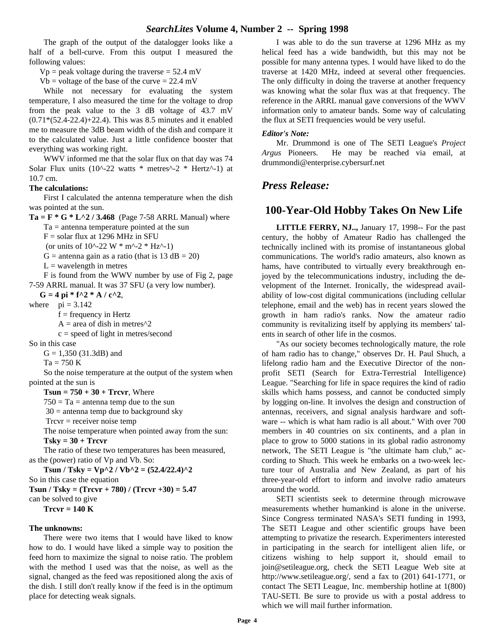The graph of the output of the datalogger looks like a half of a bell-curve. From this output I measured the following values:

 $Vp$  = peak voltage during the traverse = 52.4 mV

 $Vb$  = voltage of the base of the curve = 22.4 mV

While not necessary for evaluating the system temperature, I also measured the time for the voltage to drop from the peak value to the 3 dB voltage of 43.7 mV (0.71\*(52.4-22.4)+22.4). This was 8.5 minutes and it enabled me to measure the 3dB beam width of the dish and compare it to the calculated value. Just a little confidence booster that everything was working right.

WWV informed me that the solar flux on that day was 74 Solar Flux units (10^-22 watts \* metres^-2 \* Hertz^-1) at 10.7 cm.

#### **The calculations:**

First I calculated the antenna temperature when the dish was pointed at the sun.

**Ta** =  $\bf{F} * G * L^2 / 3.468$  (Page 7-58 ARRL Manual) where  $Ta =$  antenna temperature pointed at the sun

 $F =$  solar flux at 1296 MHz in SFU

(or units of  $10^{\circ}$ -22 W \* m<sup> $\circ$ </sup>-2 \* Hz<sup> $\circ$ </sup>-1)

 $G =$  antenna gain as a ratio (that is 13 dB = 20)

 $L =$  wavelength in metres

F is found from the WWV number by use of Fig 2, page 7-59 ARRL manual. It was 37 SFU (a very low number).

 $G = 4$  pi \* f^2 \* A / c^2,

where  $pi = 3.142$ 

 $f = frequency$  in Hertz

 $A = \text{area of dish in metres}^2$ 

 $c = speed of light in metres/second$ 

So in this case

G = 1,350 (31.3dB) and

 $Ta = 750 K$ 

So the noise temperature at the output of the system when pointed at the sun is

 $Tsun = 750 + 30 + Trcvr$ , Where

 $750 = Ta =$  antenna temp due to the sun

 $30 =$  antenna temp due to background sky

 $Trcvr = receiver noise temp$ 

The noise temperature when pointed away from the sun: **Tsky = 30 + Trcvr**

The ratio of these two temperatures has been measured, as the (power) ratio of Vp and Vb. So:

**Tsun / Tsky =**  $Vp^2$  **/**  $Vb^2$  **= (52.4/22.4)**<sup>2</sup> So in this case the equation **Tsun / Tsky = (Trcvr + 780) / (Trcvr +30) = 5.47** can be solved to give **Trcvr = 140 K**

#### **The unknowns:**

There were two items that I would have liked to know how to do. I would have liked a simple way to position the feed horn to maximize the signal to noise ratio. The problem with the method I used was that the noise, as well as the signal, changed as the feed was repositioned along the axis of the dish. I still don't really know if the feed is in the optimum place for detecting weak signals.

I was able to do the sun traverse at 1296 MHz as my helical feed has a wide bandwidth, but this may not be possible for many antenna types. I would have liked to do the traverse at 1420 MHz, indeed at several other frequencies. The only difficulty in doing the traverse at another frequency was knowing what the solar flux was at that frequency. The reference in the ARRL manual gave conversions of the WWV information only to amateur bands. Some way of calculating the flux at SETI frequencies would be very useful.

#### *Editor's Note:*

Mr. Drummond is one of The SETI League's *Project Argus* Pioneers. He may be reached via email, at drummondi@enterprise.cybersurf.net

# *Press Release:*

# **100-Year-Old Hobby Takes On New Life**

**LITTLE FERRY, NJ..,** January 17, 1998-- For the past century, the hobby of Amateur Radio has challenged the technically inclined with its promise of instantaneous global communications. The world's radio amateurs, also known as hams, have contributed to virtually every breakthrough enjoyed by the telecommunications industry, including the development of the Internet. Ironically, the widespread availability of low-cost digital communications (including cellular telephone, email and the web) has in recent years slowed the growth in ham radio's ranks. Now the amateur radio community is revitalizing itself by applying its members' talents in search of other life in the cosmos.

"As our society becomes technologically mature, the role of ham radio has to change," observes Dr. H. Paul Shuch, a lifelong radio ham and the Executive Director of the nonprofit SETI (Search for Extra-Terrestrial Intelligence) League. "Searching for life in space requires the kind of radio skills which hams possess, and cannot be conducted simply by logging on-line. It involves the design and construction of antennas, receivers, and signal analysis hardware and software -- which is what ham radio is all about." With over 700 members in 40 countries on six continents, and a plan in place to grow to 5000 stations in its global radio astronomy network, The SETI League is "the ultimate ham club," according to Shuch. This week he embarks on a two-week lecture tour of Australia and New Zealand, as part of his three-year-old effort to inform and involve radio amateurs around the world.

SETI scientists seek to determine through microwave measurements whether humankind is alone in the universe. Since Congress terminated NASA's SETI funding in 1993, The SETI League and other scientific groups have been attempting to privatize the research. Experimenters interested in participating in the search for intelligent alien life, or citizens wishing to help support it, should email to join@setileague.org, check the SETI League Web site at http://www.setileague.org/, send a fax to (201) 641-1771, or contact The SETI League, Inc. membership hotline at 1(800) TAU-SETI. Be sure to provide us with a postal address to which we will mail further information.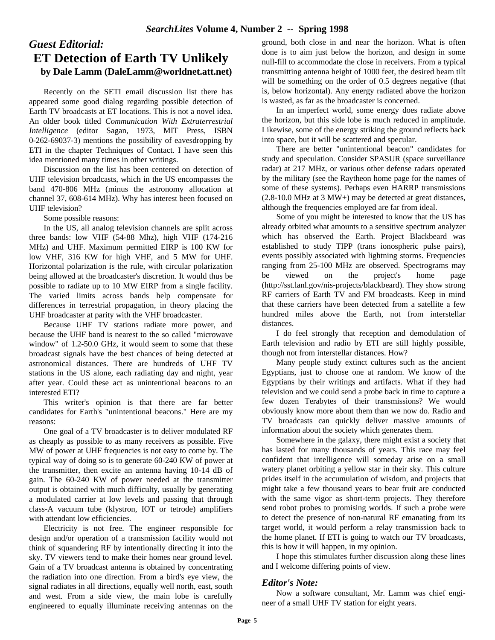# *Guest Editorial:* **ET Detection of Earth TV Unlikely by Dale Lamm (DaleLamm@worldnet.att.net)**

Recently on the SETI email discussion list there has appeared some good dialog regarding possible detection of Earth TV broadcasts at ET locations. This is not a novel idea. An older book titled *Communication With Extraterrestrial Intelligence* (editor Sagan, 1973, MIT Press, ISBN 0-262-69037-3) mentions the possibility of eavesdropping by ETI in the chapter Techniques of Contact. I have seen this idea mentioned many times in other writings.

Discussion on the list has been centered on detection of UHF television broadcasts, which in the US encompasses the band 470-806 MHz (minus the astronomy allocation at channel 37, 608-614 MHz). Why has interest been focused on UHF television?

Some possible reasons:

In the US, all analog television channels are split across three bands: low VHF (54-88 Mhz), high VHF (174-216 MHz) and UHF. Maximum permitted EIRP is 100 KW for low VHF, 316 KW for high VHF, and 5 MW for UHF. Horizontal polarization is the rule, with circular polarization being allowed at the broadcaster's discretion. It would thus be possible to radiate up to 10 MW EIRP from a single facility. The varied limits across bands help compensate for differences in terrestrial propagation, in theory placing the UHF broadcaster at parity with the VHF broadcaster.

Because UHF TV stations radiate more power, and because the UHF band is nearest to the so called "microwave window" of 1.2-50.0 GHz, it would seem to some that these broadcast signals have the best chances of being detected at astronomical distances. There are hundreds of UHF TV stations in the US alone, each radiating day and night, year after year. Could these act as unintentional beacons to an interested ETI?

This writer's opinion is that there are far better candidates for Earth's "unintentional beacons." Here are my reasons:

One goal of a TV broadcaster is to deliver modulated RF as cheaply as possible to as many receivers as possible. Five MW of power at UHF frequencies is not easy to come by. The typical way of doing so is to generate 60-240 KW of power at the transmitter, then excite an antenna having 10-14 dB of gain. The 60-240 KW of power needed at the transmitter output is obtained with much difficulty, usually by generating a modulated carrier at low levels and passing that through class-A vacuum tube (klystron, IOT or tetrode) amplifiers with attendant low efficiencies.

Electricity is not free. The engineer responsible for design and/or operation of a transmission facility would not think of squandering RF by intentionally directing it into the sky. TV viewers tend to make their homes near ground level. Gain of a TV broadcast antenna is obtained by concentrating the radiation into one direction. From a bird's eye view, the signal radiates in all directions, equally well north, east, south and west. From a side view, the main lobe is carefully engineered to equally illuminate receiving antennas on the ground, both close in and near the horizon. What is often done is to aim just below the horizon, and design in some null-fill to accommodate the close in receivers. From a typical transmitting antenna height of 1000 feet, the desired beam tilt will be something on the order of 0.5 degrees negative (that is, below horizontal). Any energy radiated above the horizon is wasted, as far as the broadcaster is concerned.

In an imperfect world, some energy does radiate above the horizon, but this side lobe is much reduced in amplitude. Likewise, some of the energy striking the ground reflects back into space, but it will be scattered and specular.

There are better "unintentional beacon" candidates for study and speculation. Consider SPASUR (space surveillance radar) at 217 MHz, or various other defense radars operated by the military (see the Raytheon home page for the names of some of these systems). Perhaps even HARRP transmissions (2.8-10.0 MHz at 3 MW+) may be detected at great distances, although the frequencies employed are far from ideal.

Some of you might be interested to know that the US has already orbited what amounts to a sensitive spectrum analyzer which has observed the Earth. Project Blackbeard was established to study TIPP (trans ionospheric pulse pairs), events possibly associated with lightning storms. Frequencies ranging from 25-100 MHz are observed. Spectrograms may be viewed on the project's home page (http://sst.lanl.gov/nis-projects/blackbeard). They show strong RF carriers of Earth TV and FM broadcasts. Keep in mind that these carriers have been detected from a satellite a few hundred miles above the Earth, not from interstellar distances.

I do feel strongly that reception and demodulation of Earth television and radio by ETI are still highly possible, though not from interstellar distances. How?

Many people study extinct cultures such as the ancient Egyptians, just to choose one at random. We know of the Egyptians by their writings and artifacts. What if they had television and we could send a probe back in time to capture a few dozen Terabytes of their transmissions? We would obviously know more about them than we now do. Radio and TV broadcasts can quickly deliver massive amounts of information about the society which generates them.

Somewhere in the galaxy, there might exist a society that has lasted for many thousands of years. This race may feel confident that intelligence will someday arise on a small watery planet orbiting a yellow star in their sky. This culture prides itself in the accumulation of wisdom, and projects that might take a few thousand years to bear fruit are conducted with the same vigor as short-term projects. They therefore send robot probes to promising worlds. If such a probe were to detect the presence of non-natural RF emanating from its target world, it would perform a relay transmission back to the home planet. If ETI is going to watch our TV broadcasts, this is how it will happen, in my opinion.

I hope this stimulates further discussion along these lines and I welcome differing points of view.

# *Editor's Note:*

Now a software consultant, Mr. Lamm was chief engineer of a small UHF TV station for eight years.